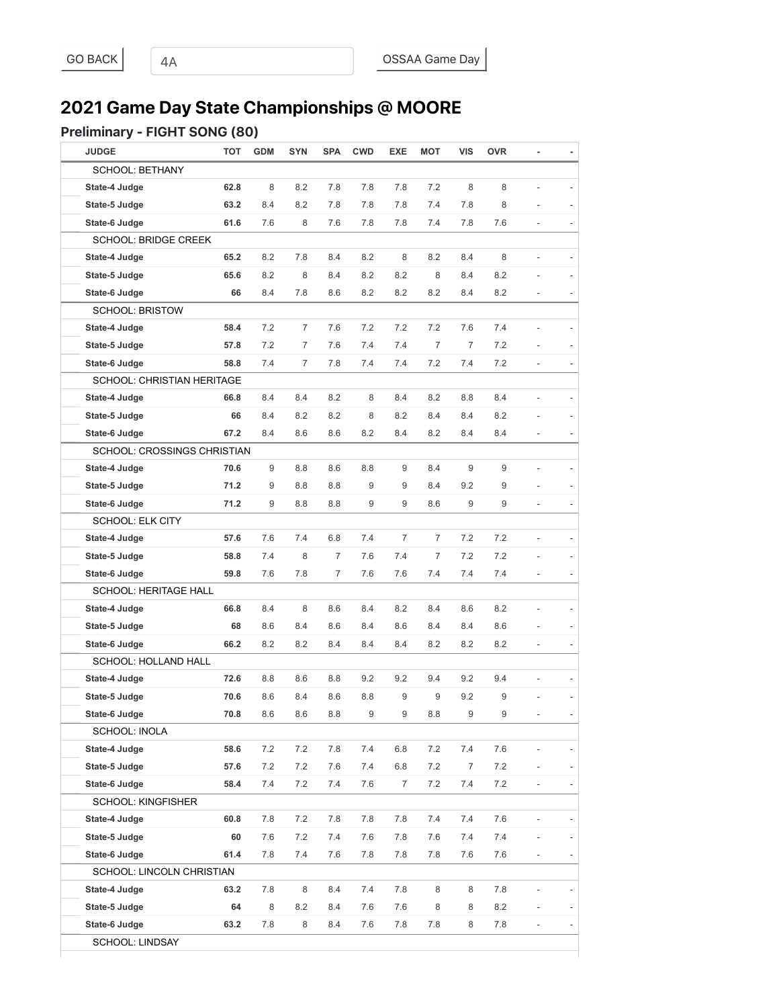# **2021 Game Day State Championships @ MOORE**

#### Preliminary - FIGHT SONG (80)

| <b>JUDGE</b>                       | тот  | <b>GDM</b> | <b>SYN</b>     | <b>SPA</b> | <b>CWD</b> | EXE            | <b>MOT</b>     | <b>VIS</b>     | <b>OVR</b> |                          |                          |
|------------------------------------|------|------------|----------------|------------|------------|----------------|----------------|----------------|------------|--------------------------|--------------------------|
| <b>SCHOOL: BETHANY</b>             |      |            |                |            |            |                |                |                |            |                          |                          |
| State-4 Judge                      | 62.8 | 8          | 8.2            | 7.8        | 7.8        | 7.8            | 7.2            | 8              | 8          |                          |                          |
| State-5 Judge                      | 63.2 | 8.4        | 8.2            | 7.8        | 7.8        | 7.8            | 7.4            | 7.8            | 8          |                          |                          |
| State-6 Judge                      | 61.6 | 7.6        | 8              | 7.6        | 7.8        | 7.8            | 7.4            | 7.8            | 7.6        | $\overline{a}$           |                          |
| <b>SCHOOL: BRIDGE CREEK</b>        |      |            |                |            |            |                |                |                |            |                          |                          |
| State-4 Judge                      | 65.2 | 8.2        | 7.8            | 8.4        | 8.2        | 8              | 8.2            | 8.4            | 8          |                          |                          |
| State-5 Judge                      | 65.6 | 8.2        | 8              | 8.4        | 8.2        | 8.2            | 8              | 8.4            | 8.2        |                          |                          |
| State-6 Judge                      | 66   | 8.4        | 7.8            | 8.6        | 8.2        | 8.2            | 8.2            | 8.4            | 8.2        |                          |                          |
| <b>SCHOOL: BRISTOW</b>             |      |            |                |            |            |                |                |                |            |                          |                          |
| State-4 Judge                      | 58.4 | 7.2        | $\overline{7}$ | 7.6        | 7.2        | 7.2            | 7.2            | 7.6            | 7.4        |                          |                          |
| State-5 Judge                      | 57.8 | 7.2        | 7              | 7.6        | 7.4        | 7.4            | 7              | $\overline{7}$ | 7.2        |                          |                          |
| State-6 Judge                      | 58.8 | 7.4        | 7              | 7.8        | 7.4        | 7.4            | 7.2            | 7.4            | 7.2        |                          | $\overline{\phantom{a}}$ |
| <b>SCHOOL: CHRISTIAN HERITAGE</b>  |      |            |                |            |            |                |                |                |            |                          |                          |
| State-4 Judge                      | 66.8 | 8.4        | 8.4            | 8.2        | 8          | 8.4            | 8.2            | 8.8            | 8.4        | $\overline{a}$           |                          |
| State-5 Judge                      | 66   | 8.4        | 8.2            | 8.2        | 8          | 8.2            | 8.4            | 8.4            | 8.2        |                          |                          |
| State-6 Judge                      | 67.2 | 8.4        | 8.6            | 8.6        | 8.2        | 8.4            | 8.2            | 8.4            | 8.4        |                          |                          |
| <b>SCHOOL: CROSSINGS CHRISTIAN</b> |      |            |                |            |            |                |                |                |            |                          |                          |
| State-4 Judge                      | 70.6 | 9          | 8.8            | 8.6        | 8.8        | 9              | 8.4            | 9              | 9          |                          |                          |
| State-5 Judge                      | 71.2 | 9          | 8.8            | 8.8        | 9          | 9              | 8.4            | 9.2            | 9          |                          |                          |
| State-6 Judge                      | 71.2 | 9          | 8.8            | 8.8        | 9          | 9              | 8.6            | 9              | 9          |                          | ۰                        |
| <b>SCHOOL: ELK CITY</b>            |      |            |                |            |            |                |                |                |            |                          |                          |
| State-4 Judge                      | 57.6 | 7.6        | 7.4            | 6.8        | 7.4        | $\overline{7}$ | $\overline{7}$ | 7.2            | 7.2        |                          |                          |
| State-5 Judge                      | 58.8 | 7.4        | 8              | 7          | 7.6        | 7.4            | 7              | 7.2            | 7.2        |                          |                          |
| State-6 Judge                      | 59.8 | 7.6        | 7.8            | 7          | 7.6        | 7.6            | 7.4            | 7.4            | 7.4        |                          |                          |
| SCHOOL: HERITAGE HALL              |      |            |                |            |            |                |                |                |            |                          |                          |
| State-4 Judge                      | 66.8 | 8.4        | 8              | 8.6        | 8.4        | 8.2            | 8.4            | 8.6            | 8.2        |                          |                          |
| State-5 Judge                      | 68   | 8.6        | 8.4            | 8.6        | 8.4        | 8.6            | 8.4            | 8.4            | 8.6        |                          |                          |
| State-6 Judge                      | 66.2 | 8.2        | 8.2            | 8.4        | 8.4        | 8.4            | 8.2            | 8.2            | 8.2        |                          |                          |
| SCHOOL: HOLLAND HALL               |      |            |                |            |            |                |                |                |            |                          |                          |
| State-4 Judge                      | 72.6 | 8.8        | 8.6            | 8.8        | 9.2        | 9.2            | 9.4            | 9.2            | 9.4        |                          |                          |
| State-5 Judge                      | 70.6 | 8.6        | 8.4            | 8.6        | 8.8        | 9              | 9              | 9.2            | 9          |                          |                          |
| State-6 Judge                      | 70.8 | 8.6        | 8.6            | 8.8        | 9          | 9              | $8.8\,$        | 9              | 9          |                          |                          |
| SCHOOL: INOLA                      |      |            |                |            |            |                |                |                |            |                          |                          |
| State-4 Judge                      | 58.6 | 7.2        | 7.2            | 7.8        | 7.4        | 6.8            | 7.2            | 7.4            | 7.6        |                          |                          |
| State-5 Judge                      | 57.6 | 7.2        | 7.2            | 7.6        | 7.4        | 6.8            | 7.2            | $\overline{7}$ | $7.2\,$    |                          |                          |
| State-6 Judge                      | 58.4 | 7.4        | 7.2            | 7.4        | 7.6        | $\overline{7}$ | 7.2            | 7.4            | 7.2        | $\frac{1}{2}$            | ۳                        |
| <b>SCHOOL: KINGFISHER</b>          |      |            |                |            |            |                |                |                |            |                          |                          |
| State-4 Judge                      | 60.8 | 7.8        | 7.2            | 7.8        | 7.8        | 7.8            | 7.4            | 7.4            | 7.6        |                          |                          |
| State-5 Judge                      | 60   | 7.6        | 7.2            | 7.4        | 7.6        | 7.8            | 7.6            | 7.4            | 7.4        |                          |                          |
| State-6 Judge                      | 61.4 | 7.8        | 7.4            | 7.6        | 7.8        | 7.8            | 7.8            | 7.6            | 7.6        | $\overline{\phantom{0}}$ |                          |
| SCHOOL: LINCOLN CHRISTIAN          |      |            |                |            |            |                |                |                |            |                          |                          |
| State-4 Judge                      | 63.2 | 7.8        | 8              | 8.4        | 7.4        | 7.8            | 8              | 8              | 7.8        |                          |                          |
| State-5 Judge                      | 64   | 8          | 8.2            | 8.4        | 7.6        | 7.6            | 8              | 8              | 8.2        |                          |                          |
| State-6 Judge                      | 63.2 | 7.8        | 8              | 8.4        | 7.6        | 7.8            | 7.8            | 8              | 7.8        | $\overline{a}$           |                          |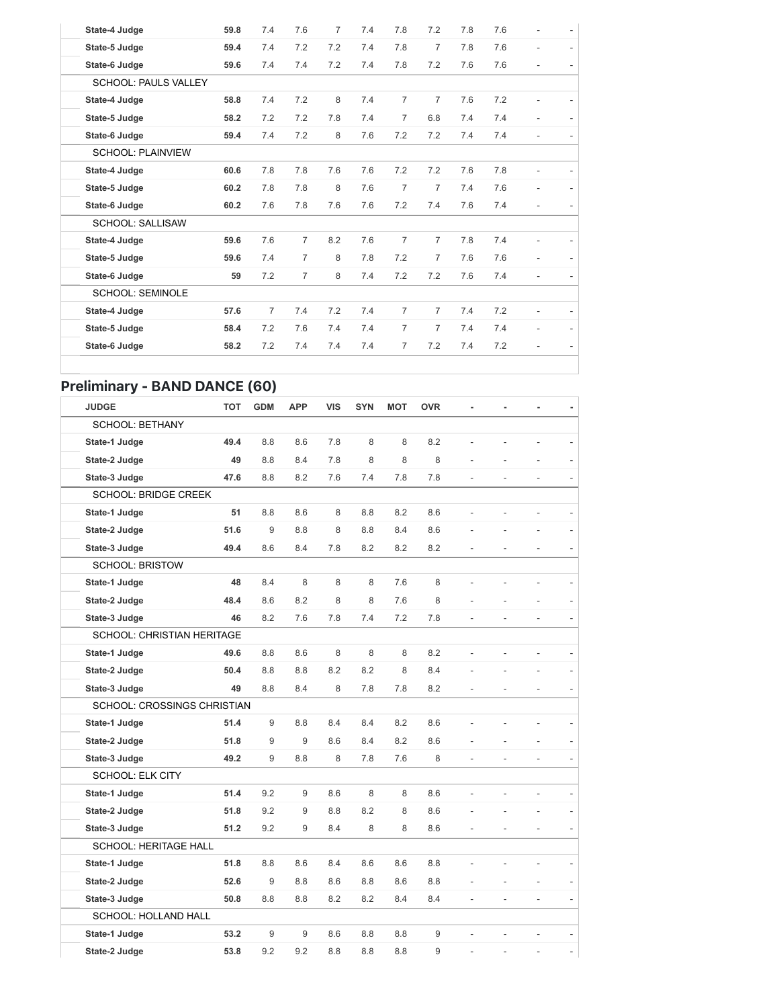| State-4 Judge            | 59.8 | 7.4 | 7.6            | $\overline{7}$ | 7.4 | 7.8            | 7.2            | 7.8 | 7.6 |                          |  |
|--------------------------|------|-----|----------------|----------------|-----|----------------|----------------|-----|-----|--------------------------|--|
| State-5 Judge            | 59.4 | 7.4 | 7.2            | 7.2            | 7.4 | 7.8            | $\overline{7}$ | 7.8 | 7.6 | $\overline{a}$           |  |
| State-6 Judge            | 59.6 | 7.4 | 7.4            | 7.2            | 7.4 | 7.8            | 7.2            | 7.6 | 7.6 | $\overline{\phantom{a}}$ |  |
| SCHOOL: PAULS VALLEY     |      |     |                |                |     |                |                |     |     |                          |  |
| State-4 Judge            | 58.8 | 7.4 | 7.2            | 8              | 7.4 | $\overline{7}$ | $\overline{7}$ | 7.6 | 7.2 |                          |  |
| State-5 Judge            | 58.2 | 7.2 | 7.2            | 7.8            | 7.4 | $\overline{7}$ | 6.8            | 7.4 | 7.4 | $\overline{a}$           |  |
| State-6 Judge            | 59.4 | 7.4 | 7.2            | 8              | 7.6 | 7.2            | 7.2            | 7.4 | 7.4 | ÷.                       |  |
| <b>SCHOOL: PLAINVIEW</b> |      |     |                |                |     |                |                |     |     |                          |  |
| State-4 Judge            | 60.6 | 7.8 | 7.8            | 7.6            | 7.6 | 7.2            | 7.2            | 7.6 | 7.8 |                          |  |
| State-5 Judge            | 60.2 | 7.8 | 7.8            | 8              | 7.6 | $\overline{7}$ | 7              | 7.4 | 7.6 | ٠                        |  |
| State-6 Judge            | 60.2 | 7.6 | 7.8            | 7.6            | 7.6 | 7.2            | 7.4            | 7.6 | 7.4 |                          |  |
| <b>SCHOOL: SALLISAW</b>  |      |     |                |                |     |                |                |     |     |                          |  |
| State-4 Judge            | 59.6 | 7.6 | $\overline{7}$ | 8.2            | 7.6 | $\overline{7}$ | $\overline{7}$ | 7.8 | 7.4 | ٠                        |  |
| State-5 Judge            | 59.6 | 7.4 | $\overline{7}$ | 8              | 7.8 | 7.2            | 7              | 7.6 | 7.6 | $\overline{a}$           |  |
| State-6 Judge            | 59   | 7.2 | $\overline{7}$ | 8              | 7.4 | 7.2            | 7.2            | 7.6 | 7.4 | ٠                        |  |
| <b>SCHOOL: SEMINOLE</b>  |      |     |                |                |     |                |                |     |     |                          |  |
| State-4 Judge            | 57.6 | 7   | 7.4            | 7.2            | 7.4 | $\overline{7}$ | $\overline{7}$ | 7.4 | 7.2 | $\overline{a}$           |  |
| State-5 Judge            | 58.4 | 7.2 | 7.6            | 7.4            | 7.4 | $\overline{7}$ | 7              | 7.4 | 7.4 |                          |  |
| State-6 Judge            | 58.2 | 7.2 | 7.4            | 7.4            | 7.4 | 7              | 7.2            | 7.4 | 7.2 |                          |  |
|                          |      |     |                |                |     |                |                |     |     |                          |  |

### Preliminary - BAND DANCE (60)

| <b>JUDGE</b>                      | <b>TOT</b> | <b>GDM</b> | <b>APP</b> | <b>VIS</b> | <b>SYN</b> | <b>MOT</b> | <b>OVR</b> | ٠              | $\blacksquare$ | $\blacksquare$           | $\overline{\phantom{a}}$ |
|-----------------------------------|------------|------------|------------|------------|------------|------------|------------|----------------|----------------|--------------------------|--------------------------|
| <b>SCHOOL: BETHANY</b>            |            |            |            |            |            |            |            |                |                |                          |                          |
| State-1 Judge                     | 49.4       | 8.8        | 8.6        | 7.8        | 8          | 8          | 8.2        |                |                |                          |                          |
| State-2 Judge                     | 49         | 8.8        | 8.4        | 7.8        | 8          | 8          | 8          |                |                |                          |                          |
| State-3 Judge                     | 47.6       | 8.8        | 8.2        | 7.6        | 7.4        | 7.8        | 7.8        | $\overline{a}$ | L,             | $\overline{\phantom{m}}$ | $\overline{\phantom{a}}$ |
| SCHOOL: BRIDGE CREEK              |            |            |            |            |            |            |            |                |                |                          |                          |
| State-1 Judge                     | 51         | 8.8        | 8.6        | 8          | 8.8        | 8.2        | 8.6        | $\overline{a}$ | $\frac{1}{2}$  | $\overline{\phantom{m}}$ | $\overline{\phantom{a}}$ |
| State-2 Judge                     | 51.6       | 9          | 8.8        | 8          | 8.8        | 8.4        | 8.6        |                |                |                          |                          |
| State-3 Judge                     | 49.4       | 8.6        | 8.4        | 7.8        | 8.2        | 8.2        | 8.2        |                |                |                          |                          |
| <b>SCHOOL: BRISTOW</b>            |            |            |            |            |            |            |            |                |                |                          |                          |
| State-1 Judge                     | 48         | 8.4        | 8          | 8          | 8          | 7.6        | 8          |                |                |                          |                          |
| State-2 Judge                     | 48.4       | 8.6        | 8.2        | 8          | 8          | 7.6        | 8          |                |                |                          |                          |
| State-3 Judge                     | 46         | 8.2        | 7.6        | 7.8        | 7.4        | 7.2        | 7.8        |                |                | ÷                        | $\overline{\phantom{a}}$ |
| <b>SCHOOL: CHRISTIAN HERITAGE</b> |            |            |            |            |            |            |            |                |                |                          |                          |
| State-1 Judge                     | 49.6       | 8.8        | 8.6        | 8          | 8          | 8          | 8.2        |                |                |                          |                          |
| State-2 Judge                     | 50.4       | 8.8        | 8.8        | 8.2        | 8.2        | 8          | 8.4        |                |                |                          |                          |
| State-3 Judge                     | 49         | 8.8        | 8.4        | 8          | 7.8        | 7.8        | 8.2        |                |                |                          |                          |
| SCHOOL: CROSSINGS CHRISTIAN       |            |            |            |            |            |            |            |                |                |                          |                          |
| State-1 Judge                     | 51.4       | 9          | 8.8        | 8.4        | 8.4        | 8.2        | 8.6        |                |                |                          | $\overline{a}$           |
| State-2 Judge                     | 51.8       | 9          | 9          | 8.6        | 8.4        | 8.2        | 8.6        |                |                |                          |                          |
| State-3 Judge                     | 49.2       | 9          | 8.8        | 8          | 7.8        | 7.6        | 8          | $\overline{a}$ | $\overline{a}$ | $\overline{a}$           | $\overline{\phantom{a}}$ |
| <b>SCHOOL: ELK CITY</b>           |            |            |            |            |            |            |            |                |                |                          |                          |
| State-1 Judge                     | 51.4       | 9.2        | 9          | 8.6        | 8          | 8          | 8.6        |                |                |                          |                          |
| State-2 Judge                     | 51.8       | 9.2        | 9          | 8.8        | 8.2        | 8          | 8.6        |                |                |                          |                          |
| State-3 Judge                     | 51.2       | 9.2        | 9          | 8.4        | 8          | 8          | 8.6        |                |                |                          |                          |
| <b>SCHOOL: HERITAGE HALL</b>      |            |            |            |            |            |            |            |                |                |                          |                          |
| State-1 Judge                     | 51.8       | 8.8        | 8.6        | 8.4        | 8.6        | 8.6        | 8.8        |                |                |                          |                          |
| State-2 Judge                     | 52.6       | 9          | 8.8        | 8.6        | 8.8        | 8.6        | 8.8        |                |                |                          |                          |
| State-3 Judge                     | 50.8       | 8.8        | 8.8        | 8.2        | 8.2        | 8.4        | 8.4        | $\overline{a}$ |                |                          | $\overline{\phantom{a}}$ |
| <b>SCHOOL: HOLLAND HALL</b>       |            |            |            |            |            |            |            |                |                |                          |                          |
| State-1 Judge                     | 53.2       | 9          | 9          | 8.6        | 8.8        | 8.8        | 9          |                |                |                          |                          |
| State-2 Judge                     | 53.8       | 9.2        | 9.2        | 8.8        | 8.8        | 8.8        | 9          | $\overline{a}$ | $\overline{a}$ | $\overline{a}$           | $\overline{\phantom{a}}$ |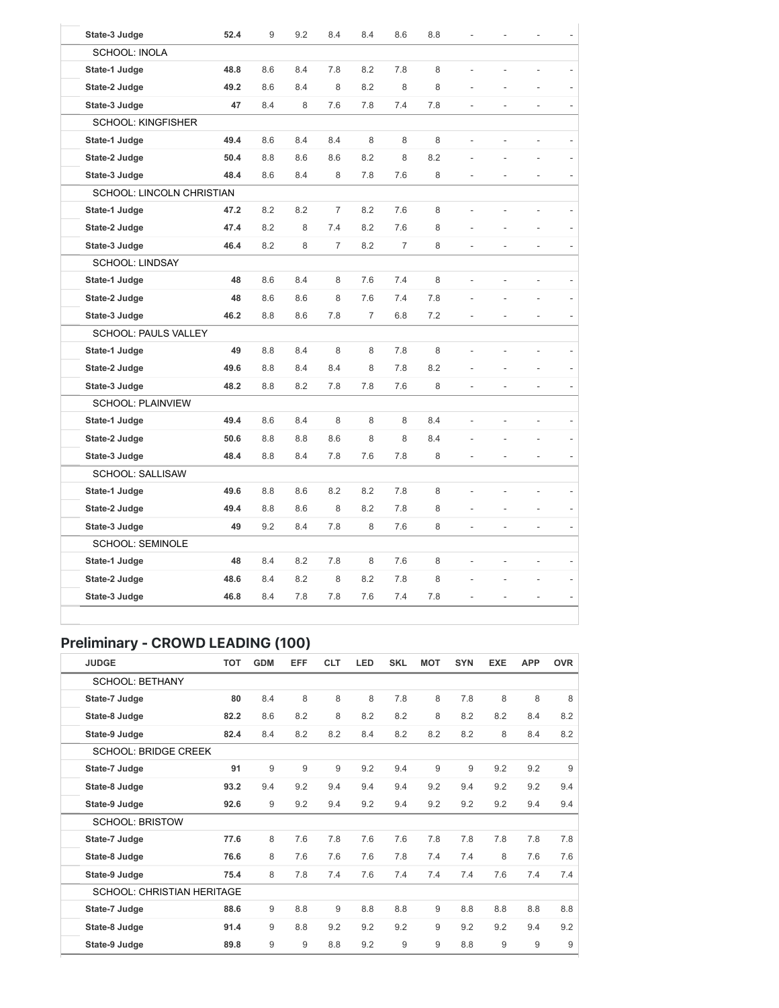| State-3 Judge                    | 52.4 | 9   | 9.2 | 8.4            | 8.4 | 8.6            | 8.8 |                |    |                |  |
|----------------------------------|------|-----|-----|----------------|-----|----------------|-----|----------------|----|----------------|--|
| <b>SCHOOL: INOLA</b>             |      |     |     |                |     |                |     |                |    |                |  |
|                                  |      |     |     |                |     |                | 8   |                |    |                |  |
| State-1 Judge                    | 48.8 | 8.6 | 8.4 | 7.8            | 8.2 | 7.8            |     |                |    |                |  |
| State-2 Judge                    | 49.2 | 8.6 | 8.4 | 8              | 8.2 | 8              | 8   |                |    |                |  |
| State-3 Judge                    | 47   | 8.4 | 8   | 7.6            | 7.8 | 7.4            | 7.8 |                |    | $\frac{1}{2}$  |  |
| <b>SCHOOL: KINGFISHER</b>        |      |     |     |                |     |                |     |                |    |                |  |
| State-1 Judge                    | 49.4 | 8.6 | 8.4 | 8.4            | 8   | 8              | 8   | L.             | L, | ä,             |  |
| State-2 Judge                    | 50.4 | 8.8 | 8.6 | 8.6            | 8.2 | 8              | 8.2 |                |    |                |  |
| State-3 Judge                    | 48.4 | 8.6 | 8.4 | 8              | 7.8 | 7.6            | 8   |                |    | L,             |  |
| <b>SCHOOL: LINCOLN CHRISTIAN</b> |      |     |     |                |     |                |     |                |    |                |  |
| State-1 Judge                    | 47.2 | 8.2 | 8.2 | $\overline{7}$ | 8.2 | 7.6            | 8   |                |    |                |  |
| State-2 Judge                    | 47.4 | 8.2 | 8   | 7.4            | 8.2 | 7.6            | 8   |                |    |                |  |
| State-3 Judge                    | 46.4 | 8.2 | 8   | $\overline{7}$ | 8.2 | $\overline{7}$ | 8   |                | ÷, | ä,             |  |
| <b>SCHOOL: LINDSAY</b>           |      |     |     |                |     |                |     |                |    |                |  |
| State-1 Judge                    | 48   | 8.6 | 8.4 | 8              | 7.6 | 7.4            | 8   |                |    | L,             |  |
| State-2 Judge                    | 48   | 8.6 | 8.6 | 8              | 7.6 | 7.4            | 7.8 |                |    |                |  |
| State-3 Judge                    | 46.2 | 8.8 | 8.6 | 7.8            | 7   | 6.8            | 7.2 |                |    |                |  |
| <b>SCHOOL: PAULS VALLEY</b>      |      |     |     |                |     |                |     |                |    |                |  |
| State-1 Judge                    | 49   | 8.8 | 8.4 | 8              | 8   | 7.8            | 8   |                |    |                |  |
| State-2 Judge                    | 49.6 | 8.8 | 8.4 | 8.4            | 8   | 7.8            | 8.2 |                |    |                |  |
| State-3 Judge                    | 48.2 | 8.8 | 8.2 | 7.8            | 7.8 | 7.6            | 8   |                |    | L,             |  |
| <b>SCHOOL: PLAINVIEW</b>         |      |     |     |                |     |                |     |                |    |                |  |
| State-1 Judge                    | 49.4 | 8.6 | 8.4 | 8              | 8   | 8              | 8.4 | $\overline{a}$ | L, | $\overline{a}$ |  |
| State-2 Judge                    | 50.6 | 8.8 | 8.8 | 8.6            | 8   | 8              | 8.4 |                |    |                |  |
| State-3 Judge                    | 48.4 | 8.8 | 8.4 | 7.8            | 7.6 | 7.8            | 8   |                |    | $\overline{a}$ |  |
| SCHOOL: SALLISAW                 |      |     |     |                |     |                |     |                |    |                |  |
| State-1 Judge                    | 49.6 | 8.8 | 8.6 | 8.2            | 8.2 | 7.8            | 8   |                |    |                |  |
| State-2 Judge                    | 49.4 | 8.8 | 8.6 | 8              | 8.2 | 7.8            | 8   |                |    | L,             |  |
| State-3 Judge                    | 49   | 9.2 | 8.4 | 7.8            | 8   | 7.6            | 8   |                |    | L,             |  |
| <b>SCHOOL: SEMINOLE</b>          |      |     |     |                |     |                |     |                |    |                |  |
| State-1 Judge                    | 48   | 8.4 | 8.2 | 7.8            | 8   | 7.6            | 8   |                |    | L,             |  |
| State-2 Judge                    | 48.6 | 8.4 | 8.2 | 8              | 8.2 | 7.8            | 8   |                |    |                |  |
| State-3 Judge                    | 46.8 | 8.4 | 7.8 | 7.8            | 7.6 | 7.4            | 7.8 |                |    |                |  |

## Preliminary - CROWD LEADING (100)

| <b>JUDGE</b>                      | <b>TOT</b> | <b>GDM</b> | <b>EFF</b> | <b>CLT</b> | LED | <b>SKL</b> | <b>MOT</b> | <b>SYN</b> | <b>EXE</b> | <b>APP</b> | <b>OVR</b> |
|-----------------------------------|------------|------------|------------|------------|-----|------------|------------|------------|------------|------------|------------|
| <b>SCHOOL: BETHANY</b>            |            |            |            |            |     |            |            |            |            |            |            |
| State-7 Judge                     | 80         | 8.4        | 8          | 8          | 8   | 7.8        | 8          | 7.8        | 8          | 8          | 8          |
| State-8 Judge                     | 82.2       | 8.6        | 8.2        | 8          | 8.2 | 8.2        | 8          | 8.2        | 8.2        | 8.4        | 8.2        |
| State-9 Judge                     | 82.4       | 8.4        | 8.2        | 8.2        | 8.4 | 8.2        | 8.2        | 8.2        | 8          | 8.4        | 8.2        |
| <b>SCHOOL: BRIDGE CREEK</b>       |            |            |            |            |     |            |            |            |            |            |            |
| State-7 Judge                     | 91         | 9          | 9          | 9          | 9.2 | 9.4        | 9          | 9          | 9.2        | 9.2        | 9          |
| State-8 Judge                     | 93.2       | 9.4        | 9.2        | 9.4        | 9.4 | 9.4        | 9.2        | 9.4        | 9.2        | 9.2        | 9.4        |
| State-9 Judge                     | 92.6       | 9          | 9.2        | 9.4        | 9.2 | 9.4        | 9.2        | 9.2        | 9.2        | 9.4        | 9.4        |
| <b>SCHOOL: BRISTOW</b>            |            |            |            |            |     |            |            |            |            |            |            |
| State-7 Judge                     | 77.6       | 8          | 7.6        | 7.8        | 7.6 | 7.6        | 7.8        | 7.8        | 7.8        | 7.8        | 7.8        |
| State-8 Judge                     | 76.6       | 8          | 7.6        | 7.6        | 7.6 | 7.8        | 7.4        | 7.4        | 8          | 7.6        | 7.6        |
| State-9 Judge                     | 75.4       | 8          | 7.8        | 7.4        | 7.6 | 7.4        | 7.4        | 7.4        | 7.6        | 7.4        | 7.4        |
| <b>SCHOOL: CHRISTIAN HERITAGE</b> |            |            |            |            |     |            |            |            |            |            |            |
| State-7 Judge                     | 88.6       | 9          | 8.8        | 9          | 8.8 | 8.8        | 9          | 8.8        | 8.8        | 8.8        | 8.8        |
| State-8 Judge                     | 91.4       | 9          | 8.8        | 9.2        | 9.2 | 9.2        | 9          | 9.2        | 9.2        | 9.4        | 9.2        |
| State-9 Judge                     | 89.8       | 9          | 9          | 8.8        | 9.2 | 9          | 9          | 8.8        | 9          | 9          | 9          |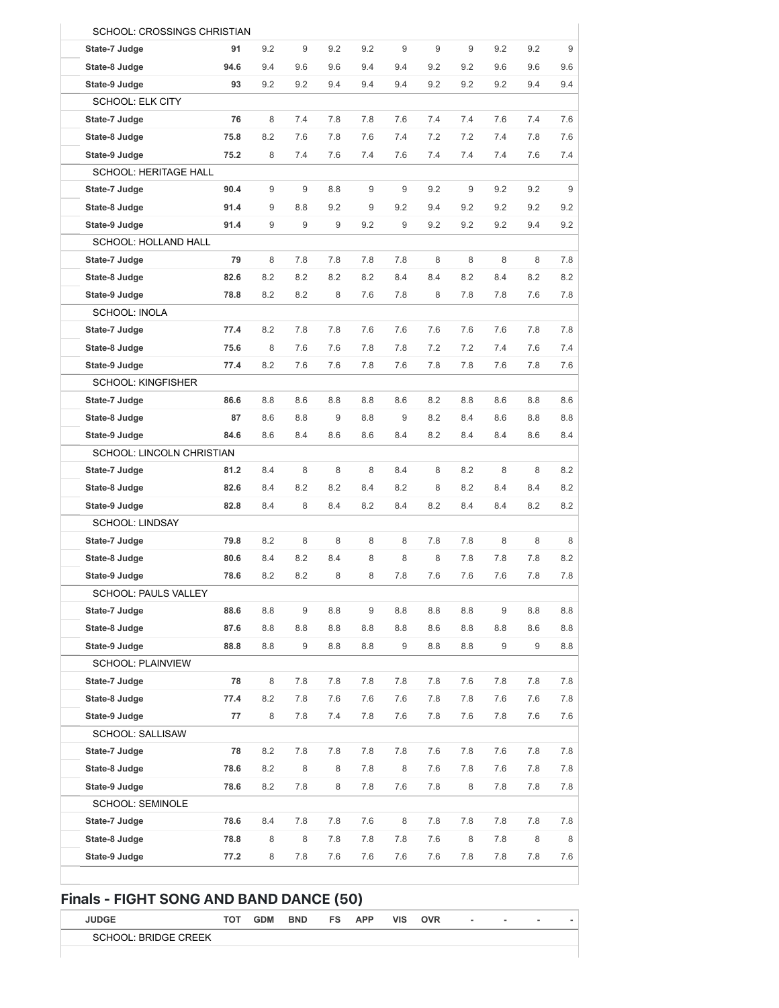|                              | SCHOOL: CROSSINGS CHRISTIAN |     |     |     |     |     |     |     |     |     |  |
|------------------------------|-----------------------------|-----|-----|-----|-----|-----|-----|-----|-----|-----|--|
| State-7 Judge                | 91                          | 9.2 | 9   | 9.2 | 9.2 | 9   | 9   | 9   | 9.2 | 9.2 |  |
| State-8 Judge                | 94.6                        | 9.4 | 9.6 | 9.6 | 9.4 | 9.4 | 9.2 | 9.2 | 9.6 | 9.6 |  |
| State-9 Judge                | 93                          | 9.2 | 9.2 | 9.4 | 9.4 | 9.4 | 9.2 | 9.2 | 9.2 | 9.4 |  |
| <b>SCHOOL: ELK CITY</b>      |                             |     |     |     |     |     |     |     |     |     |  |
| State-7 Judge                | 76                          | 8   | 7.4 | 7.8 | 7.8 | 7.6 | 7.4 | 7.4 | 7.6 | 7.4 |  |
| State-8 Judge                | 75.8                        | 8.2 | 7.6 | 7.8 | 7.6 | 7.4 | 7.2 | 7.2 | 7.4 | 7.8 |  |
| State-9 Judge                | 75.2                        | 8   | 7.4 | 7.6 | 7.4 | 7.6 | 7.4 | 7.4 | 7.4 | 7.6 |  |
| <b>SCHOOL: HERITAGE HALL</b> |                             |     |     |     |     |     |     |     |     |     |  |
| State-7 Judge                | 90.4                        | 9   | 9   | 8.8 | 9   | 9   | 9.2 | 9   | 9.2 | 9.2 |  |
| State-8 Judge                | 91.4                        | 9   | 8.8 | 9.2 | 9   | 9.2 | 9.4 | 9.2 | 9.2 | 9.2 |  |
| State-9 Judge                | 91.4                        | 9   | 9   | 9   | 9.2 | 9   | 9.2 | 9.2 | 9.2 | 9.4 |  |
| SCHOOL: HOLLAND HALL         |                             |     |     |     |     |     |     |     |     |     |  |
| State-7 Judge                | 79                          | 8   | 7.8 | 7.8 | 7.8 | 7.8 | 8   | 8   | 8   | 8   |  |
| State-8 Judge                | 82.6                        | 8.2 | 8.2 | 8.2 | 8.2 | 8.4 | 8.4 | 8.2 | 8.4 | 8.2 |  |
| State-9 Judge                | 78.8                        | 8.2 | 8.2 | 8   | 7.6 | 7.8 | 8   | 7.8 | 7.8 | 7.6 |  |
| <b>SCHOOL: INOLA</b>         |                             |     |     |     |     |     |     |     |     |     |  |
| State-7 Judge                | 77.4                        | 8.2 | 7.8 | 7.8 | 7.6 | 7.6 | 7.6 | 7.6 | 7.6 | 7.8 |  |
| State-8 Judge                | 75.6                        | 8   | 7.6 | 7.6 | 7.8 | 7.8 | 7.2 | 7.2 | 7.4 | 7.6 |  |
| State-9 Judge                | 77.4                        | 8.2 | 7.6 | 7.6 | 7.8 | 7.6 | 7.8 | 7.8 | 7.6 | 7.8 |  |
| <b>SCHOOL: KINGFISHER</b>    |                             |     |     |     |     |     |     |     |     |     |  |
| State-7 Judge                | 86.6                        | 8.8 | 8.6 | 8.8 | 8.8 | 8.6 | 8.2 | 8.8 | 8.6 | 8.8 |  |
| State-8 Judge                | 87                          | 8.6 | 8.8 | 9   | 8.8 | 9   | 8.2 | 8.4 | 8.6 | 8.8 |  |
| State-9 Judge                | 84.6                        | 8.6 | 8.4 | 8.6 | 8.6 | 8.4 | 8.2 | 8.4 | 8.4 | 8.6 |  |
| SCHOOL: LINCOLN CHRISTIAN    |                             |     |     |     |     |     |     |     |     |     |  |
| State-7 Judge                | 81.2                        | 8.4 | 8   | 8   | 8   | 8.4 | 8   | 8.2 | 8   | 8   |  |
| State-8 Judge                | 82.6                        | 8.4 | 8.2 | 8.2 | 8.4 | 8.2 | 8   | 8.2 | 8.4 | 8.4 |  |
| State-9 Judge                | 82.8                        | 8.4 | 8   | 8.4 | 8.2 | 8.4 | 8.2 | 8.4 | 8.4 | 8.2 |  |
| <b>SCHOOL: LINDSAY</b>       |                             |     |     |     |     |     |     |     |     |     |  |
| State-7 Judge                | 79.8                        | 8.2 | 8   | 8   | 8   | 8   | 7.8 | 7.8 | 8   | 8   |  |
| State-8 Judge                | 80.6                        | 8.4 | 8.2 | 8.4 | 8   | 8   | 8   | 7.8 | 7.8 | 7.8 |  |
| State-9 Judge                | 78.6                        | 8.2 | 8.2 | 8   | 8   | 7.8 | 7.6 | 7.6 | 7.6 | 7.8 |  |
| SCHOOL: PAULS VALLEY         |                             |     |     |     |     |     |     |     |     |     |  |
| State-7 Judge                | 88.6                        | 8.8 | 9   | 8.8 | 9   | 8.8 | 8.8 | 8.8 | 9   | 8.8 |  |
| State-8 Judge                | 87.6                        | 8.8 | 8.8 | 8.8 | 8.8 | 8.8 | 8.6 | 8.8 | 8.8 | 8.6 |  |
| State-9 Judge                | 88.8                        | 8.8 | 9   | 8.8 | 8.8 | 9   | 8.8 | 8.8 | 9   | 9   |  |
| <b>SCHOOL: PLAINVIEW</b>     |                             |     |     |     |     |     |     |     |     |     |  |
| State-7 Judge                | 78                          | 8   | 7.8 | 7.8 | 7.8 | 7.8 | 7.8 | 7.6 | 7.8 | 7.8 |  |
| State-8 Judge                | 77.4                        | 8.2 | 7.8 | 7.6 | 7.6 | 7.6 | 7.8 | 7.8 | 7.6 | 7.6 |  |
| State-9 Judge                | 77                          | 8   | 7.8 | 7.4 | 7.8 | 7.6 | 7.8 | 7.6 | 7.8 | 7.6 |  |
| SCHOOL: SALLISAW             |                             |     |     |     |     |     |     |     |     |     |  |
| State-7 Judge                | 78                          | 8.2 | 7.8 | 7.8 | 7.8 | 7.8 | 7.6 | 7.8 | 7.6 | 7.8 |  |
| State-8 Judge                | 78.6                        | 8.2 | 8   | 8   | 7.8 | 8   | 7.6 | 7.8 | 7.6 | 7.8 |  |
| State-9 Judge                | 78.6                        | 8.2 | 7.8 | 8   | 7.8 | 7.6 | 7.8 | 8   | 7.8 | 7.8 |  |
| <b>SCHOOL: SEMINOLE</b>      |                             |     |     |     |     |     |     |     |     |     |  |
| State-7 Judge                | 78.6                        | 8.4 | 7.8 | 7.8 | 7.6 | 8   | 7.8 | 7.8 | 7.8 | 7.8 |  |
| State-8 Judge                | 78.8                        | 8   | 8   | 7.8 | 7.8 | 7.8 | 7.6 | 8   | 7.8 | 8   |  |
| State-9 Judge                | 77.2                        | 8   | 7.8 | 7.6 | 7.6 | 7.6 | 7.6 | 7.8 | 7.8 | 7.8 |  |

### Finals - FIGHT SONG AND BAND DANCE (50)

| <b>JUDGE</b>         | тот | <b>GDM</b> | <b>BND</b> | <b>FS</b> | <b>APP</b> | <b>VIS</b> | <b>OVR</b> | $\overline{\phantom{a}}$ | $\sim$ | $\overline{\phantom{a}}$ | ۰ |
|----------------------|-----|------------|------------|-----------|------------|------------|------------|--------------------------|--------|--------------------------|---|
| SCHOOL: BRIDGE CREEK |     |            |            |           |            |            |            |                          |        |                          |   |
|                      |     |            |            |           |            |            |            |                          |        |                          |   |